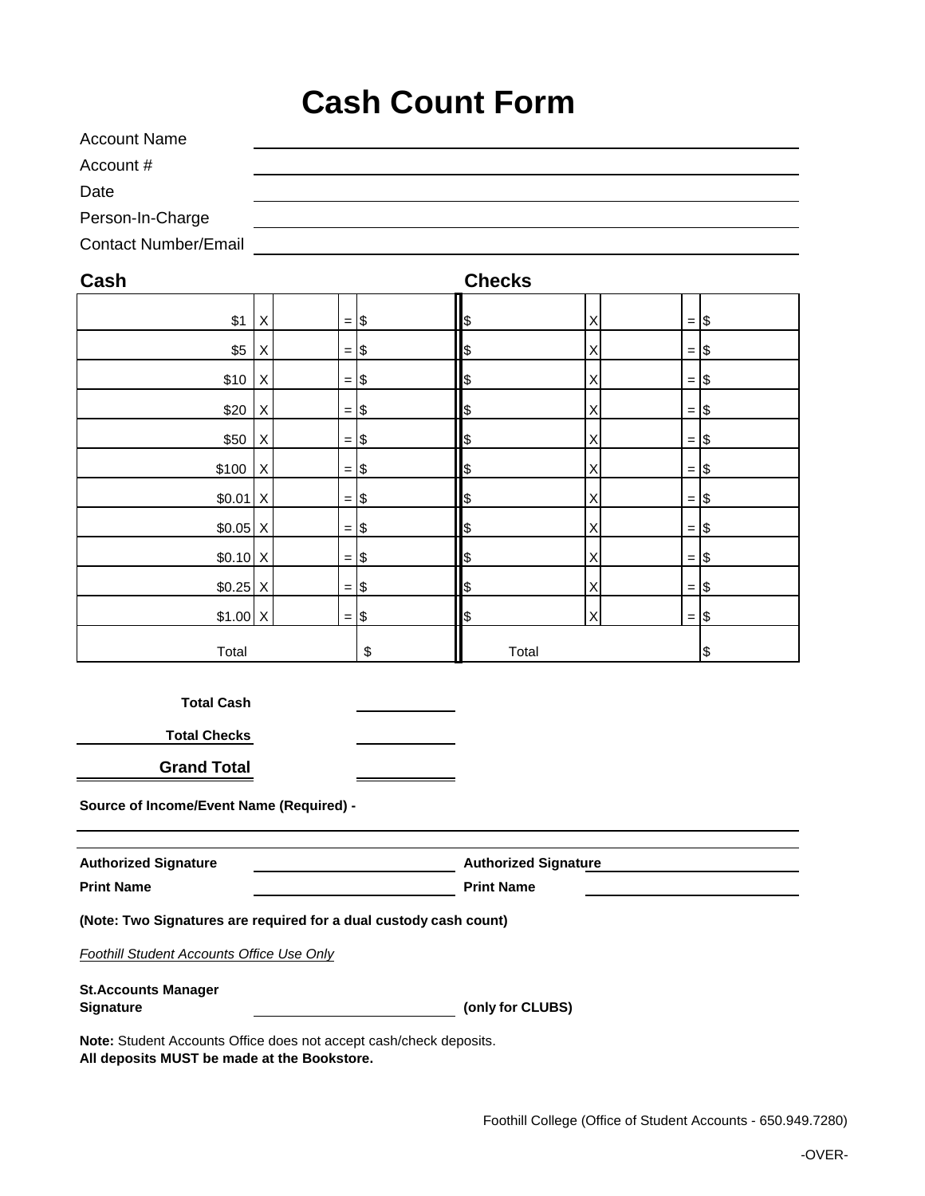## **Cash Count Form**

| <b>Account Name</b>         |  |
|-----------------------------|--|
| Account #                   |  |
| Date                        |  |
| Person-In-Charge            |  |
| <b>Contact Number/Email</b> |  |

| Cash      |                           |                | <b>Checks</b>    |   |                |    |
|-----------|---------------------------|----------------|------------------|---|----------------|----|
| \$1       | $\pmb{\times}$            | $=$ $\sqrt{ }$ | \$               | Χ | $=$ \$         |    |
| \$5       | $\mathsf X$               | $=$ $\sqrt{ }$ | \$               | Χ | $=$ $\sqrt{ }$ |    |
| \$10      | $\mathsf X$               | $=$ $\sqrt{ }$ | \$               | X | $=$ $\sqrt{ }$ |    |
| \$20      | $\boldsymbol{\mathsf{X}}$ | $=$ $\sqrt{ }$ | $$\mathfrak{F}$$ | Χ | $=$ $\sqrt{ }$ |    |
| \$50      | $\mathsf X$               | $=$ $\sqrt{ }$ | \$               | Χ | $=$ $\sqrt{ }$ |    |
| \$100     | $\mathsf X$               | $=$ $\sqrt{ }$ | \$               | Χ | $=$ $\sqrt{ }$ |    |
| $$0.01$ X |                           | $=$ $\sqrt{ }$ | $$\mathfrak{F}$$ | Χ | $=$ $\sqrt{ }$ |    |
| $$0.05$ X |                           | $=$ $\sqrt{ }$ | $$\mathfrak{F}$$ | X | $=$ $\sqrt{ }$ |    |
| $$0.10$ X |                           | $=$ $\sqrt{ }$ | \$               | Х | $=$ \$         |    |
| $$0.25$ X |                           | $=$ \$         | \$               | Χ | $=$ $\sqrt{ }$ |    |
| $$1.00$ X |                           | $=$ \$         | \$               | X | $=$ $\sqrt{ }$ |    |
| Total     |                           |                | \$<br>Total      |   |                | \$ |

**Total Cash**

**Total Checks**

**Grand Total**

**Source of Income/Event Name (Required) -**

| <b>Authorized Signature</b> | <b>Authorized Signature</b> |  |  |  |
|-----------------------------|-----------------------------|--|--|--|
| <b>Print Name</b>           | <b>Print Name</b>           |  |  |  |

**(Note: Two Signatures are required for a dual custody cash count)**

*Foothill Student Accounts Office Use Only*

**St.Accounts Manager Signature (only for CLUBS)**

**Note:** Student Accounts Office does not accept cash/check deposits. **All deposits MUST be made at the Bookstore.**